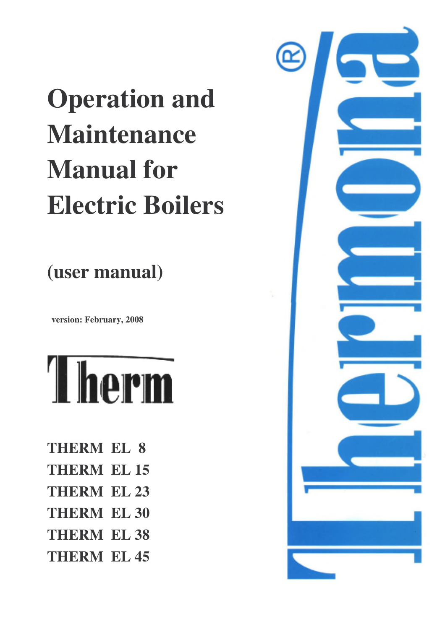# **Operation and Maintenance Manual for Electric Boilers**

**(user manual)** 

 **version: February, 2008**



- **THERM EL 8**
- **THERM EL 15**
- **THERM EL 23**
- **THERM EL 30**
- **THERM EL 38**
- **THERM EL 45**

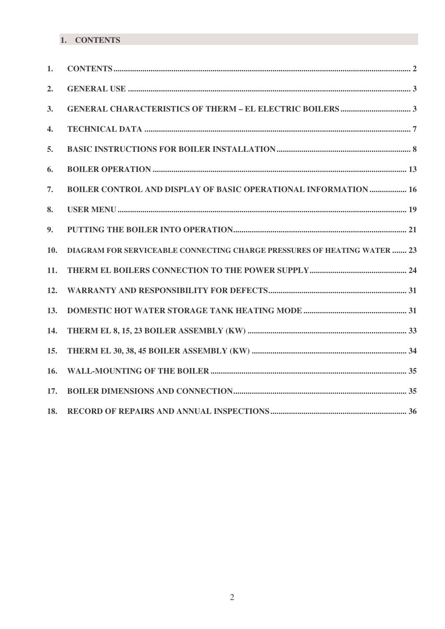## 1. CONTENTS

| 1.         |                                                                          |
|------------|--------------------------------------------------------------------------|
| 2.         |                                                                          |
| 3.         |                                                                          |
| 4.         |                                                                          |
| 5.         |                                                                          |
| 6.         |                                                                          |
| 7.         | <b>BOILER CONTROL AND DISPLAY OF BASIC OPERATIONAL INFORMATION  16</b>   |
| 8.         |                                                                          |
| 9.         |                                                                          |
| <b>10.</b> | DIAGRAM FOR SERVICEABLE CONNECTING CHARGE PRESSURES OF HEATING WATER  23 |
| 11.        |                                                                          |
| 12.        |                                                                          |
| 13.        |                                                                          |
| 14.        |                                                                          |
| 15.        |                                                                          |
| 16.        |                                                                          |
| 17.        |                                                                          |
| 18.        |                                                                          |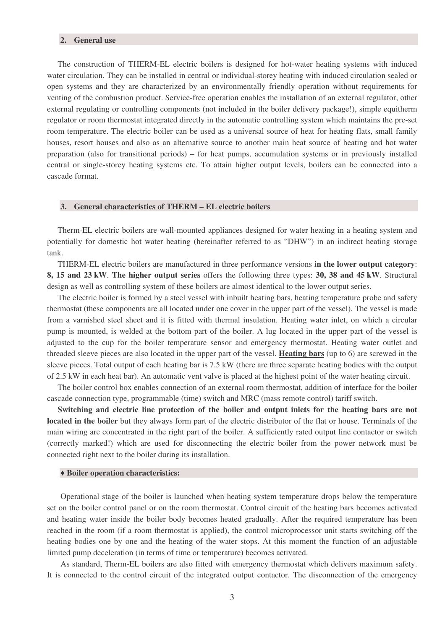#### **2. General use**

The construction of THERM-EL electric boilers is designed for hot-water heating systems with induced water circulation. They can be installed in central or individual-storey heating with induced circulation sealed or open systems and they are characterized by an environmentally friendly operation without requirements for venting of the combustion product. Service-free operation enables the installation of an external regulator, other external regulating or controlling components (not included in the boiler delivery package!), simple equitherm regulator or room thermostat integrated directly in the automatic controlling system which maintains the pre-set room temperature. The electric boiler can be used as a universal source of heat for heating flats, small family houses, resort houses and also as an alternative source to another main heat source of heating and hot water preparation (also for transitional periods) – for heat pumps, accumulation systems or in previously installed central or single-storey heating systems etc. To attain higher output levels, boilers can be connected into a cascade format.

#### **3. General characteristics of THERM – EL electric boilers**

Therm-EL electric boilers are wall-mounted appliances designed for water heating in a heating system and potentially for domestic hot water heating (hereinafter referred to as "DHW") in an indirect heating storage tank.

THERM-EL electric boilers are manufactured in three performance versions **in the lower output category**: **8, 15 and 23 kW**. **The higher output series** offers the following three types: **30, 38 and 45 kW**. Structural design as well as controlling system of these boilers are almost identical to the lower output series.

The electric boiler is formed by a steel vessel with inbuilt heating bars, heating temperature probe and safety thermostat (these components are all located under one cover in the upper part of the vessel). The vessel is made from a varnished steel sheet and it is fitted with thermal insulation. Heating water inlet, on which a circular pump is mounted, is welded at the bottom part of the boiler. A lug located in the upper part of the vessel is adjusted to the cup for the boiler temperature sensor and emergency thermostat. Heating water outlet and threaded sleeve pieces are also located in the upper part of the vessel. **Heating bars** (up to 6) are screwed in the sleeve pieces. Total output of each heating bar is 7.5 kW (there are three separate heating bodies with the output of 2.5 kW in each heat bar). An automatic vent valve is placed at the highest point of the water heating circuit.

The boiler control box enables connection of an external room thermostat, addition of interface for the boiler cascade connection type, programmable (time) switch and MRC (mass remote control) tariff switch.

**Switching and electric line protection of the boiler and output inlets for the heating bars are not located in the boiler** but they always form part of the electric distributor of the flat or house. Terminals of the main wiring are concentrated in the right part of the boiler. A sufficiently rated output line contactor or switch (correctly marked!) which are used for disconnecting the electric boiler from the power network must be connected right next to the boiler during its installation.

#### ♦ **Boiler operation characteristics:**

Operational stage of the boiler is launched when heating system temperature drops below the temperature set on the boiler control panel or on the room thermostat. Control circuit of the heating bars becomes activated and heating water inside the boiler body becomes heated gradually. After the required temperature has been reached in the room (if a room thermostat is applied), the control microprocessor unit starts switching off the heating bodies one by one and the heating of the water stops. At this moment the function of an adjustable limited pump deceleration (in terms of time or temperature) becomes activated.

As standard, Therm-EL boilers are also fitted with emergency thermostat which delivers maximum safety. It is connected to the control circuit of the integrated output contactor. The disconnection of the emergency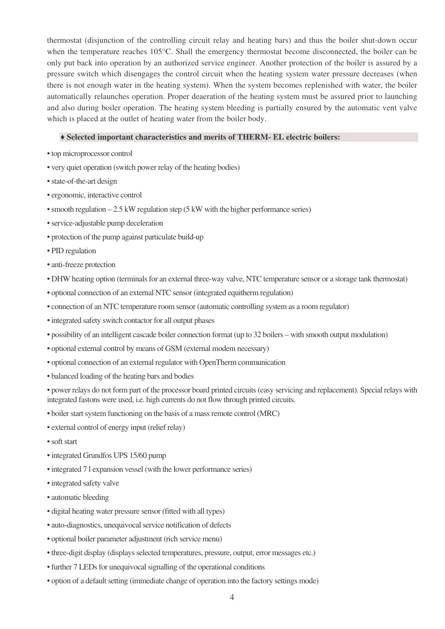thermostat (disjunction of the controlling circuit relay and heating bars) and thus the boiler shut-down occur when the temperature reaches 105°C. Shall the emergency thermostat become disconnected, the boiler can be only put back into operation by an authorized service engineer. Another protection of the boiler is assured by a pressure switch which disengages the control circuit when the heating system water pressure decreases (when there is not enough water in the heating system). When the system becomes replenished with water, the boiler automatically relaunches operation. Proper deaeration of the heating system must be assured prior to launching and also during boiler operation. The heating system bleeding is partially ensured by the automatic vent valve which is placed at the outlet of heating water from the boiler body.

#### ♦ **Selected important characteristics and merits of THERM- EL electric boilers:**

- top microprocessor control
- very quiet operation (switch power relay of the heating bodies)
- state-of-the-art design
- ergonomic, interactive control
- smooth regulation  $-2.5$  kW regulation step (5 kW with the higher performance series)
- service-adjustable pump deceleration
- protection of the pump against particulate build-up
- PID regulation
- anti-freeze protection
- DHW heating option (terminals for an external three-way valve, NTC temperature sensor or a storage tank thermostat)
- optional connection of an external NTC sensor (integrated equitherm regulation)
- connection of an NTC temperature room sensor (automatic controlling system as a room regulator)
- integrated safety switch contactor for all output phases
- possibility of an intelligent cascade boiler connection format (up to 32 boilers with smooth output modulation)
- optional external control by means of GSM (external modem necessary)
- optional connection of an external regulator with OpenTherm communication
- balanced loading of the heating bars and bodies

• power relays do not form part of the processor board printed circuits (easy servicing and replacement). Special relays with integrated fastons were used, i.e. high currents do not flow through printed circuits.

- boiler start system functioning on the basis of a mass remote control (MRC)
- external control of energy input (relief relay)
- soft start
- integrated Grundfos UPS 15/60 pump
- integrated 7 l expansion vessel (with the lower performance series)
- integrated safety valve
- automatic bleeding
- digital heating water pressure sensor (fitted with all types)
- auto-diagnostics, unequivocal service notification of defects
- optional boiler parameter adjustment (rich service menu)
- three-digit display (displays selected temperatures, pressure, output, error messages etc.)
- further 7 LEDs for unequivocal signalling of the operational conditions
- option of a default setting (immediate change of operation into the factory settings mode)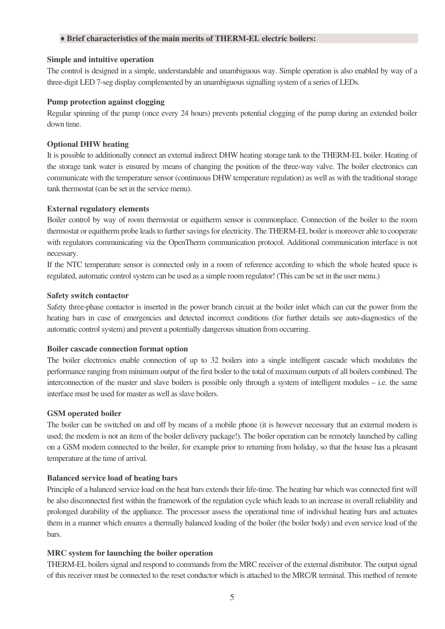#### ♦ **Brief characteristics of the main merits of THERM-EL electric boilers:**

#### **Simple and intuitive operation**

The control is designed in a simple, understandable and unambiguous way. Simple operation is also enabled by way of a three-digit LED 7-seg display complemented by an unambiguous signalling system of a series of LEDs.

#### **Pump protection against clogging**

Regular spinning of the pump (once every 24 hours) prevents potential clogging of the pump during an extended boiler down time.

#### **Optional DHW heating**

It is possible to additionally connect an external indirect DHW heating storage tank to the THERM-EL boiler. Heating of the storage tank water is ensured by means of changing the position of the three-way valve. The boiler electronics can communicate with the temperature sensor (continuous DHW temperature regulation) as well as with the traditional storage tank thermostat (can be set in the service menu).

#### **External regulatory elements**

Boiler control by way of room thermostat or equitherm sensor is commonplace. Connection of the boiler to the room thermostat or equitherm probe leads to further savings for electricity. The THERM-EL boiler is moreover able to cooperate with regulators communicating via the OpenTherm communication protocol. Additional communication interface is not necessary.

If the NTC temperature sensor is connected only in a room of reference according to which the whole heated space is regulated, automatic control system can be used as a simple room regulator! (This can be set in the user menu.)

#### **Safety switch contactor**

Safety three-phase contactor is inserted in the power branch circuit at the boiler inlet which can cut the power from the heating bars in case of emergencies and detected incorrect conditions (for further details see auto-diagnostics of the automatic control system) and prevent a potentially dangerous situation from occurring.

#### **Boiler cascade connection format option**

The boiler electronics enable connection of up to 32 boilers into a single intelligent cascade which modulates the performance ranging from minimum output of the first boiler to the total of maximum outputs of all boilers combined. The interconnection of the master and slave boilers is possible only through a system of intelligent modules – i.e. the same interface must be used for master as well as slave boilers.

#### **GSM operated boiler**

The boiler can be switched on and off by means of a mobile phone (it is however necessary that an external modem is used; the modem is not an item of the boiler delivery package!). The boiler operation can be remotely launched by calling on a GSM modem connected to the boiler, for example prior to returning from holiday, so that the house has a pleasant temperature at the time of arrival.

#### **Balanced service load of heating bars**

Principle of a balanced service load on the heat bars extends their life-time. The heating bar which was connected first will be also disconnected first within the framework of the regulation cycle which leads to an increase in overall reliability and prolonged durability of the appliance. The processor assess the operational time of individual heating bars and actuates them in a manner which ensures a thermally balanced loading of the boiler (the boiler body) and even service load of the bars.

#### **MRC system for launching the boiler operation**

THERM-EL boilers signal and respond to commands from the MRC receiver of the external distributor. The output signal of this receiver must be connected to the reset conductor which is attached to the MRC/R terminal. This method of remote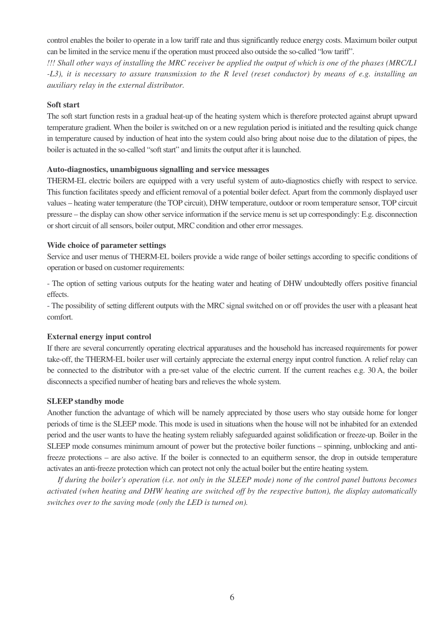control enables the boiler to operate in a low tariff rate and thus significantly reduce energy costs. Maximum boiler output can be limited in the service menu if the operation must proceed also outside the so-called "low tariff".

*!!! Shall other ways of installing the MRC receiver be applied the output of which is one of the phases (MRC/L1 -L3), it is necessary to assure transmission to the R level (reset conductor) by means of e.g. installing an auxiliary relay in the external distributor.* 

#### **Soft start**

The soft start function rests in a gradual heat-up of the heating system which is therefore protected against abrupt upward temperature gradient. When the boiler is switched on or a new regulation period is initiated and the resulting quick change in temperature caused by induction of heat into the system could also bring about noise due to the dilatation of pipes, the boiler is actuated in the so-called "soft start" and limits the output after it is launched.

#### **Auto-diagnostics, unambiguous signalling and service messages**

THERM-EL electric boilers are equipped with a very useful system of auto-diagnostics chiefly with respect to service. This function facilitates speedy and efficient removal of a potential boiler defect. Apart from the commonly displayed user values – heating water temperature (the TOP circuit), DHW temperature, outdoor or room temperature sensor, TOP circuit pressure – the display can show other service information if the service menu is set up correspondingly: E.g. disconnection or short circuit of all sensors, boiler output, MRC condition and other error messages.

#### **Wide choice of parameter settings**

Service and user menus of THERM-EL boilers provide a wide range of boiler settings according to specific conditions of operation or based on customer requirements:

- The option of setting various outputs for the heating water and heating of DHW undoubtedly offers positive financial effects.

- The possibility of setting different outputs with the MRC signal switched on or off provides the user with a pleasant heat comfort.

#### **External energy input control**

If there are several concurrently operating electrical apparatuses and the household has increased requirements for power take-off, the THERM-EL boiler user will certainly appreciate the external energy input control function. A relief relay can be connected to the distributor with a pre-set value of the electric current. If the current reaches e.g. 30 A, the boiler disconnects a specified number of heating bars and relieves the whole system.

#### **SLEEP standby mode**

Another function the advantage of which will be namely appreciated by those users who stay outside home for longer periods of time is the SLEEP mode. This mode is used in situations when the house will not be inhabited for an extended period and the user wants to have the heating system reliably safeguarded against solidification or freeze-up. Boiler in the SLEEP mode consumes minimum amount of power but the protective boiler functions – spinning, unblocking and antifreeze protections – are also active. If the boiler is connected to an equitherm sensor, the drop in outside temperature activates an anti-freeze protection which can protect not only the actual boiler but the entire heating system.

*If during the boiler's operation (i.e. not only in the SLEEP mode) none of the control panel buttons becomes activated (when heating and DHW heating are switched off by the respective button), the display automatically switches over to the saving mode (only the LED is turned on).*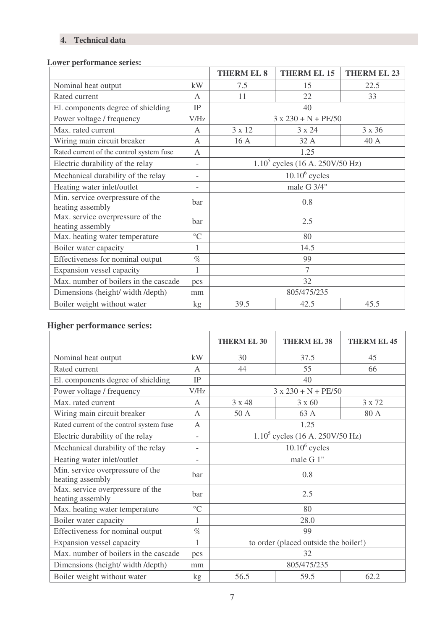## **4. Technical data**

#### **Lower performance series:**

|                                                      |                 | <b>THERM EL 8</b> | <b>THERM EL 15</b>                 | <b>THERM EL 23</b> |
|------------------------------------------------------|-----------------|-------------------|------------------------------------|--------------------|
| Nominal heat output                                  | kW              | 7.5               | 15                                 | 22.5               |
| Rated current                                        | $\mathsf{A}$    | 11                | 22                                 | 33                 |
| El. components degree of shielding                   | $\rm IP$        |                   | 40                                 |                    |
| Power voltage / frequency                            | V/Hz            |                   | $3x230 + N + PE/50$                |                    |
| Max. rated current                                   | A               | 3 x 12            | 3 x 24                             | 3 x 36             |
| Wiring main circuit breaker                          | $\mathsf{A}$    | 16 A              | 32 A                               | 40 A               |
| Rated current of the control system fuse             | $\mathsf{A}$    |                   | 1.25                               |                    |
| Electric durability of the relay                     | $\overline{a}$  |                   | $1.10^5$ cycles (16 A. 250V/50 Hz) |                    |
| Mechanical durability of the relay                   | $\overline{a}$  | $10.10^6$ cycles  |                                    |                    |
| Heating water inlet/outlet                           | $\overline{a}$  | male G 3/4"       |                                    |                    |
| Min. service overpressure of the<br>heating assembly |                 | 0.8               |                                    |                    |
| Max. service overpressure of the<br>heating assembly | 2.5             |                   |                                    |                    |
| Max. heating water temperature                       | $\rm ^{\circ}C$ | 80                |                                    |                    |
| Boiler water capacity<br>14.5                        |                 |                   |                                    |                    |
| Effectiveness for nominal output<br>$\%$             |                 | 99                |                                    |                    |
| Expansion vessel capacity<br>1                       |                 | 7                 |                                    |                    |
| Max. number of boilers in the cascade<br>pcs         |                 | 32                |                                    |                    |
| Dimensions (height/width/depth)                      | mm              | 805/475/235       |                                    |                    |
| Boiler weight without water                          | kg <sub>2</sub> | 39.5              | 42.5                               | 45.5               |

## **Higher performance series:**

|                                                      |                                            | <b>THERM EL 30</b>                 | <b>THERM EL 38</b>   | <b>THERM EL 45</b> |
|------------------------------------------------------|--------------------------------------------|------------------------------------|----------------------|--------------------|
| Nominal heat output                                  | kW                                         | 30                                 | 37.5                 | 45                 |
| Rated current                                        | A                                          | 44                                 | 55                   | 66                 |
| El. components degree of shielding                   | $\rm IP$                                   |                                    | 40                   |                    |
| Power voltage / frequency                            | V/Hz                                       |                                    | $3x 230 + N + PE/50$ |                    |
| Max. rated current                                   | A                                          | 3 x 48                             | $3 \times 60$        | 3 x 72             |
| Wiring main circuit breaker                          | A                                          | 50 A                               | 63 A                 | 80 A               |
| Rated current of the control system fuse             | A                                          |                                    | 1.25                 |                    |
| Electric durability of the relay                     | $\overline{\phantom{a}}$                   | $1.10^5$ cycles (16 A. 250V/50 Hz) |                      |                    |
| Mechanical durability of the relay                   | $\overline{\phantom{a}}$                   | $10.10^6$ cycles                   |                      |                    |
| Heating water inlet/outlet                           | $\overline{\phantom{a}}$                   |                                    | male G 1"            |                    |
| Min. service overpressure of the<br>heating assembly | <b>b</b> ar                                | 0.8                                |                      |                    |
| Max. service overpressure of the<br>heating assembly | <b>bar</b>                                 | 2.5                                |                      |                    |
| Max. heating water temperature                       | $\rm ^{\circ}C$                            |                                    | 80                   |                    |
| Boiler water capacity                                | 1                                          | 28.0                               |                      |                    |
| Effectiveness for nominal output                     | 99                                         |                                    |                      |                    |
| Expansion vessel capacity                            | 1<br>to order (placed outside the boiler!) |                                    |                      |                    |
| Max. number of boilers in the cascade                | pcs                                        | 32                                 |                      |                    |
| Dimensions (height/width/depth)                      | mm                                         | 805/475/235                        |                      |                    |
| Boiler weight without water                          | kg                                         | 56.5                               | 59.5                 | 62.2               |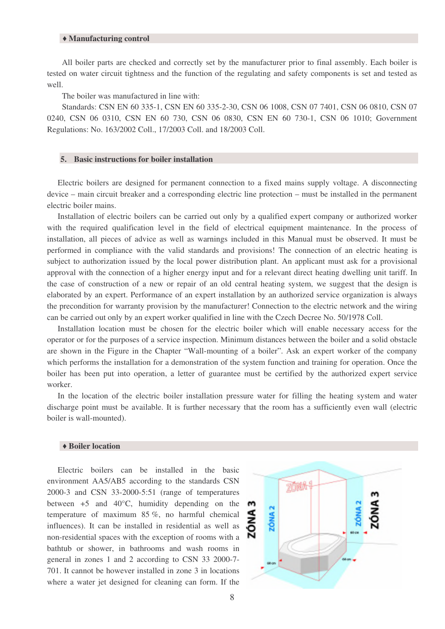#### ♦ **Manufacturing control**

All boiler parts are checked and correctly set by the manufacturer prior to final assembly. Each boiler is tested on water circuit tightness and the function of the regulating and safety components is set and tested as well.

The boiler was manufactured in line with:

Standards: CSN EN 60 335-1, CSN EN 60 335-2-30, CSN 06 1008, CSN 07 7401, CSN 06 0810, CSN 07 0240, CSN 06 0310, CSN EN 60 730, CSN 06 0830, CSN EN 60 730-1, CSN 06 1010; Government Regulations: No. 163/2002 Coll., 17/2003 Coll. and 18/2003 Coll.

#### **5. Basic instructions for boiler installation**

Electric boilers are designed for permanent connection to a fixed mains supply voltage. A disconnecting device – main circuit breaker and a corresponding electric line protection – must be installed in the permanent electric boiler mains.

Installation of electric boilers can be carried out only by a qualified expert company or authorized worker with the required qualification level in the field of electrical equipment maintenance. In the process of installation, all pieces of advice as well as warnings included in this Manual must be observed. It must be performed in compliance with the valid standards and provisions! The connection of an electric heating is subject to authorization issued by the local power distribution plant. An applicant must ask for a provisional approval with the connection of a higher energy input and for a relevant direct heating dwelling unit tariff. In the case of construction of a new or repair of an old central heating system, we suggest that the design is elaborated by an expert. Performance of an expert installation by an authorized service organization is always the precondition for warranty provision by the manufacturer! Connection to the electric network and the wiring can be carried out only by an expert worker qualified in line with the Czech Decree No. 50/1978 Coll.

Installation location must be chosen for the electric boiler which will enable necessary access for the operator or for the purposes of a service inspection. Minimum distances between the boiler and a solid obstacle are shown in the Figure in the Chapter "Wall-mounting of a boiler". Ask an expert worker of the company which performs the installation for a demonstration of the system function and training for operation. Once the boiler has been put into operation, a letter of guarantee must be certified by the authorized expert service worker.

In the location of the electric boiler installation pressure water for filling the heating system and water discharge point must be available. It is further necessary that the room has a sufficiently even wall (electric boiler is wall-mounted).

#### ♦ **Boiler location**

Electric boilers can be installed in the basic environment AA5/AB5 according to the standards CSN 2000-3 and CSN 33-2000-5:51 (range of temperatures between +5 and 40°C, humidity depending on the temperature of maximum 85 %, no harmful chemical influences). It can be installed in residential as well as non-residential spaces with the exception of rooms with a bathtub or shower, in bathrooms and wash rooms in general in zones 1 and 2 according to CSN 33 2000-7- 701. It cannot be however installed in zone 3 in locations where a water jet designed for cleaning can form. If the

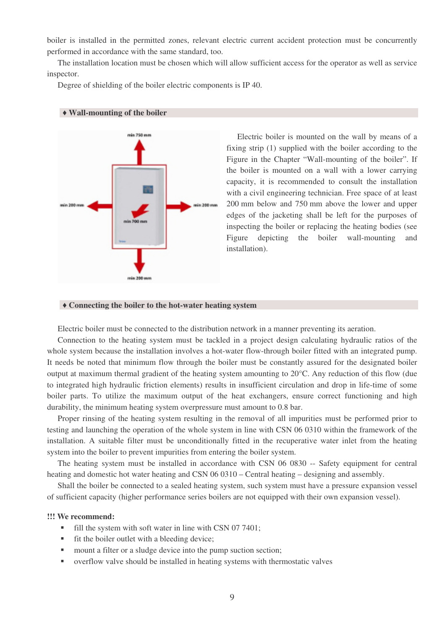boiler is installed in the permitted zones, relevant electric current accident protection must be concurrently performed in accordance with the same standard, too.

The installation location must be chosen which will allow sufficient access for the operator as well as service inspector.

Degree of shielding of the boiler electric components is IP 40.



#### ♦ **Wall-mounting of the boiler**

Electric boiler is mounted on the wall by means of a fixing strip (1) supplied with the boiler according to the Figure in the Chapter "Wall-mounting of the boiler". If the boiler is mounted on a wall with a lower carrying capacity, it is recommended to consult the installation with a civil engineering technician. Free space of at least 200 mm below and 750 mm above the lower and upper edges of the jacketing shall be left for the purposes of inspecting the boiler or replacing the heating bodies (see Figure depicting the boiler wall-mounting and installation).

#### ♦ **Connecting the boiler to the hot-water heating system**

Electric boiler must be connected to the distribution network in a manner preventing its aeration.

Connection to the heating system must be tackled in a project design calculating hydraulic ratios of the whole system because the installation involves a hot-water flow-through boiler fitted with an integrated pump. It needs be noted that minimum flow through the boiler must be constantly assured for the designated boiler output at maximum thermal gradient of the heating system amounting to 20°C. Any reduction of this flow (due to integrated high hydraulic friction elements) results in insufficient circulation and drop in life-time of some boiler parts. To utilize the maximum output of the heat exchangers, ensure correct functioning and high durability, the minimum heating system overpressure must amount to 0.8 bar.

Proper rinsing of the heating system resulting in the removal of all impurities must be performed prior to testing and launching the operation of the whole system in line with CSN 06 0310 within the framework of the installation. A suitable filter must be unconditionally fitted in the recuperative water inlet from the heating system into the boiler to prevent impurities from entering the boiler system.

The heating system must be installed in accordance with CSN 06 0830 -- Safety equipment for central heating and domestic hot water heating and CSN 06 0310 – Central heating – designing and assembly.

Shall the boiler be connected to a sealed heating system, such system must have a pressure expansion vessel of sufficient capacity (higher performance series boilers are not equipped with their own expansion vessel).

#### **!!! We recommend:**

- fill the system with soft water in line with CSN 07 7401;
- $\blacksquare$  fit the boiler outlet with a bleeding device;
- mount a filter or a sludge device into the pump suction section;
- overflow valve should be installed in heating systems with thermostatic valves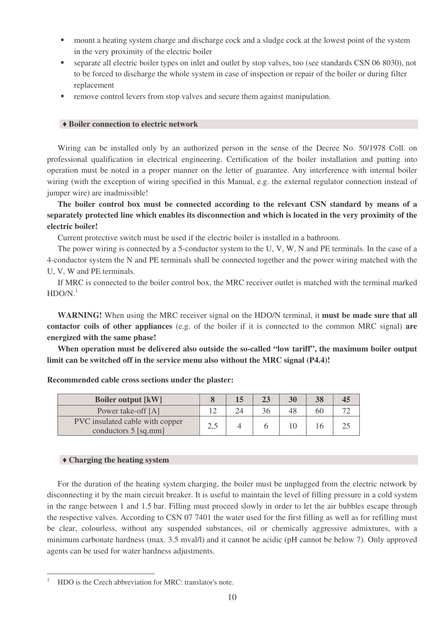- mount a heating system charge and discharge cock and a sludge cock at the lowest point of the system in the very proximity of the electric boiler
- separate all electric boiler types on inlet and outlet by stop valves, too (see standards CSN 06 8030), not to be forced to discharge the whole system in case of inspection or repair of the boiler or during filter replacement
- remove control levers from stop valves and secure them against manipulation.

#### ♦ **Boiler connection to electric network**

Wiring can be installed only by an authorized person in the sense of the Decree No. 50/1978 Coll. on professional qualification in electrical engineering. Certification of the boiler installation and putting into operation must be noted in a proper manner on the letter of guarantee. Any interference with internal boiler wiring (with the exception of wiring specified in this Manual, e.g. the external regulator connection instead of jumper wire) are inadmissible!

**The boiler control box must be connected according to the relevant CSN standard by means of a separately protected line which enables its disconnection and which is located in the very proximity of the electric boiler!** 

Current protective switch must be used if the electric boiler is installed in a bathroom.

The power wiring is connected by a 5-conductor system to the U, V, W, N and PE terminals. In the case of a 4-conductor system the N and PE terminals shall be connected together and the power wiring matched with the U, V, W and PE terminals.

If MRC is connected to the boiler control box, the MRC receiver outlet is matched with the terminal marked  $HDO/N.<sup>1</sup>$ 

**WARNING!** When using the MRC receiver signal on the HDO/N terminal, it **must be made sure that all contactor coils of other appliances** (e.g. of the boiler if it is connected to the common MRC signal) **are energized with the same phase!**

**When operation must be delivered also outside the so-called "low tariff", the maximum boiler output limit can be switched off in the service menu also without the MRC signal (P4.4)!** 

| <b>Boiler output [kW]</b>                                 |  | 23 | 30 | 38 | 45 |
|-----------------------------------------------------------|--|----|----|----|----|
| Power take-off [A]                                        |  | 36 |    | 60 |    |
| PVC insulated cable with copper<br>conductors $5$ [sq.mm] |  |    |    |    |    |

#### **Recommended cable cross sections under the plaster:**

#### ♦ **Charging the heating system**

For the duration of the heating system charging, the boiler must be unplugged from the electric network by disconnecting it by the main circuit breaker. It is useful to maintain the level of filling pressure in a cold system in the range between 1 and 1.5 bar. Filling must proceed slowly in order to let the air bubbles escape through the respective valves. According to CSN 07 7401 the water used for the first filling as well as for refilling must be clear, colourless, without any suspended substances, oil or chemically aggressive admixtures, with a minimum carbonate hardness (max. 3.5 mval/l) and it cannot be acidic (pH cannot be below 7). Only approved agents can be used for water hardness adjustments.

 $\overline{a}$ 1 HDO is the Czech abbreviation for MRC: translator's note.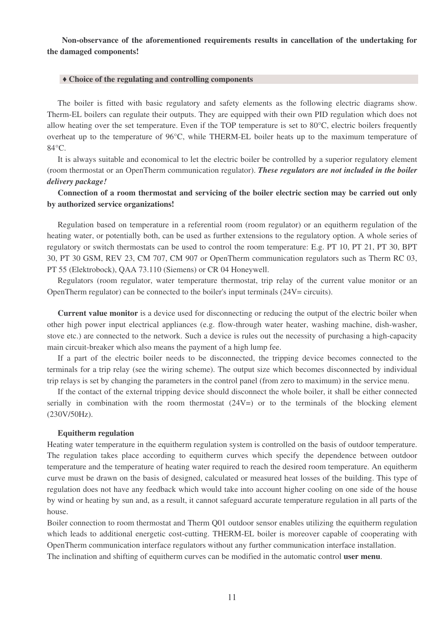**Non-observance of the aforementioned requirements results in cancellation of the undertaking for the damaged components!** 

#### ♦ **Choice of the regulating and controlling components**

The boiler is fitted with basic regulatory and safety elements as the following electric diagrams show. Therm-EL boilers can regulate their outputs. They are equipped with their own PID regulation which does not allow heating over the set temperature. Even if the TOP temperature is set to 80°C, electric boilers frequently overheat up to the temperature of 96°C, while THERM-EL boiler heats up to the maximum temperature of 84°C.

It is always suitable and economical to let the electric boiler be controlled by a superior regulatory element (room thermostat or an OpenTherm communication regulator). *These regulators are not included in the boiler delivery package!*

#### **Connection of a room thermostat and servicing of the boiler electric section may be carried out only by authorized service organizations!**

Regulation based on temperature in a referential room (room regulator) or an equitherm regulation of the heating water, or potentially both, can be used as further extensions to the regulatory option. A whole series of regulatory or switch thermostats can be used to control the room temperature: E.g. PT 10, PT 21, PT 30, BPT 30, PT 30 GSM, REV 23, CM 707, CM 907 or OpenTherm communication regulators such as Therm RC 03, PT 55 (Elektrobock), QAA 73.110 (Siemens) or CR 04 Honeywell.

Regulators (room regulator, water temperature thermostat, trip relay of the current value monitor or an OpenTherm regulator) can be connected to the boiler's input terminals (24V= circuits).

**Current value monitor** is a device used for disconnecting or reducing the output of the electric boiler when other high power input electrical appliances (e.g. flow-through water heater, washing machine, dish-washer, stove etc.) are connected to the network. Such a device is rules out the necessity of purchasing a high-capacity main circuit-breaker which also means the payment of a high lump fee.

If a part of the electric boiler needs to be disconnected, the tripping device becomes connected to the terminals for a trip relay (see the wiring scheme). The output size which becomes disconnected by individual trip relays is set by changing the parameters in the control panel (from zero to maximum) in the service menu.

If the contact of the external tripping device should disconnect the whole boiler, it shall be either connected serially in combination with the room thermostat  $(24V=)$  or to the terminals of the blocking element (230V/50Hz).

#### **Equitherm regulation**

Heating water temperature in the equitherm regulation system is controlled on the basis of outdoor temperature. The regulation takes place according to equitherm curves which specify the dependence between outdoor temperature and the temperature of heating water required to reach the desired room temperature. An equitherm curve must be drawn on the basis of designed, calculated or measured heat losses of the building. This type of regulation does not have any feedback which would take into account higher cooling on one side of the house by wind or heating by sun and, as a result, it cannot safeguard accurate temperature regulation in all parts of the house.

Boiler connection to room thermostat and Therm Q01 outdoor sensor enables utilizing the equitherm regulation which leads to additional energetic cost-cutting. THERM-EL boiler is moreover capable of cooperating with OpenTherm communication interface regulators without any further communication interface installation.

The inclination and shifting of equitherm curves can be modified in the automatic control **user menu**.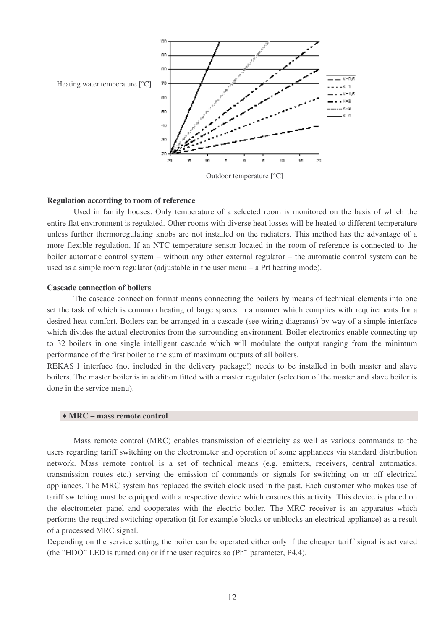

#### **Regulation according to room of reference**

Used in family houses. Only temperature of a selected room is monitored on the basis of which the entire flat environment is regulated. Other rooms with diverse heat losses will be heated to different temperature unless further thermoregulating knobs are not installed on the radiators. This method has the advantage of a more flexible regulation. If an NTC temperature sensor located in the room of reference is connected to the boiler automatic control system – without any other external regulator – the automatic control system can be used as a simple room regulator (adjustable in the user menu – a Prt heating mode).

#### **Cascade connection of boilers**

The cascade connection format means connecting the boilers by means of technical elements into one set the task of which is common heating of large spaces in a manner which complies with requirements for a desired heat comfort. Boilers can be arranged in a cascade (see wiring diagrams) by way of a simple interface which divides the actual electronics from the surrounding environment. Boiler electronics enable connecting up to 32 boilers in one single intelligent cascade which will modulate the output ranging from the minimum performance of the first boiler to the sum of maximum outputs of all boilers.

REKAS 1 interface (not included in the delivery package!) needs to be installed in both master and slave boilers. The master boiler is in addition fitted with a master regulator (selection of the master and slave boiler is done in the service menu).

#### ♦ **MRC – mass remote control**

Mass remote control (MRC) enables transmission of electricity as well as various commands to the users regarding tariff switching on the electrometer and operation of some appliances via standard distribution network. Mass remote control is a set of technical means (e.g. emitters, receivers, central automatics, transmission routes etc.) serving the emission of commands or signals for switching on or off electrical appliances. The MRC system has replaced the switch clock used in the past. Each customer who makes use of tariff switching must be equipped with a respective device which ensures this activity. This device is placed on the electrometer panel and cooperates with the electric boiler. The MRC receiver is an apparatus which performs the required switching operation (it for example blocks or unblocks an electrical appliance) as a result of a processed MRC signal.

Depending on the service setting, the boiler can be operated either only if the cheaper tariff signal is activated (the "HDO" LED is turned on) or if the user requires so (Ph¯ parameter, P4.4).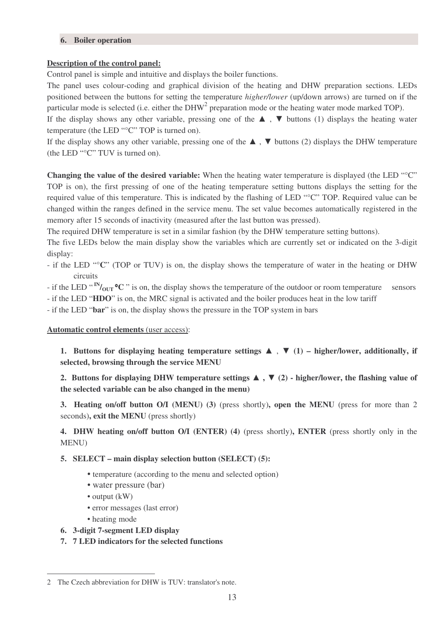#### **6. Boiler operation**

#### **Description of the control panel:**

Control panel is simple and intuitive and displays the boiler functions.

The panel uses colour-coding and graphical division of the heating and DHW preparation sections. LEDs positioned between the buttons for setting the temperature *higher/lower* (up/down arrows) are turned on if the particular mode is selected (i.e. either the DHW<sup>2</sup> preparation mode or the heating water mode marked TOP).

If the display shows any other variable, pressing one of the  $\blacktriangle$ ,  $\nabla$  buttons (1) displays the heating water temperature (the LED "°C" TOP is turned on).

If the display shows any other variable, pressing one of the  $\blacktriangle$ ,  $\nabla$  buttons (2) displays the DHW temperature (the LED "°C" TUV is turned on).

**Changing the value of the desired variable:** When the heating water temperature is displayed (the LED "°C" TOP is on), the first pressing of one of the heating temperature setting buttons displays the setting for the required value of this temperature. This is indicated by the flashing of LED "°C" TOP. Required value can be changed within the ranges defined in the service menu. The set value becomes automatically registered in the memory after 15 seconds of inactivity (measured after the last button was pressed).

The required DHW temperature is set in a similar fashion (by the DHW temperature setting buttons).

The five LEDs below the main display show the variables which are currently set or indicated on the 3-digit display:

- if the LED "**°C**" (TOP or TUV) is on, the display shows the temperature of water in the heating or DHW circuits

 $\cdot$  if the LED " $\rm N_{OUT}$  °C " is on, the display shows the temperature of the outdoor or room temperature sensors

- if the LED "**HDO**" is on, the MRC signal is activated and the boiler produces heat in the low tariff

- if the LED "**bar**" is on, the display shows the pressure in the TOP system in bars

#### **Automatic control elements** (user access):

**1. Buttons for displaying heating temperature settings** ▲ , ▼ **(1) – higher/lower, additionally, if selected, browsing through the service MENU** 

**2. Buttons for displaying DHW temperature settings** ▲ **,** ▼ **(2) - higher/lower, the flashing value of the selected variable can be also changed in the menu)** 

**3. Heating on/off button O/I (MENU) (3)** (press shortly)**, open the MENU** (press for more than 2 seconds)**, exit the MENU** (press shortly)

**4. DHW heating on/off button O/I (ENTER) (4)** (press shortly)**, ENTER** (press shortly only in the MENU)

**5. SELECT – main display selection button (SELECT) (5):** 

- temperature (according to the menu and selected option)
- water pressure (bar)
- output (kW)
- error messages (last error)
- heating mode

 $\overline{a}$ 

- **6. 3-digit 7-segment LED display**
- **7. 7 LED indicators for the selected functions**

<sup>2</sup> The Czech abbreviation for DHW is TUV: translator's note.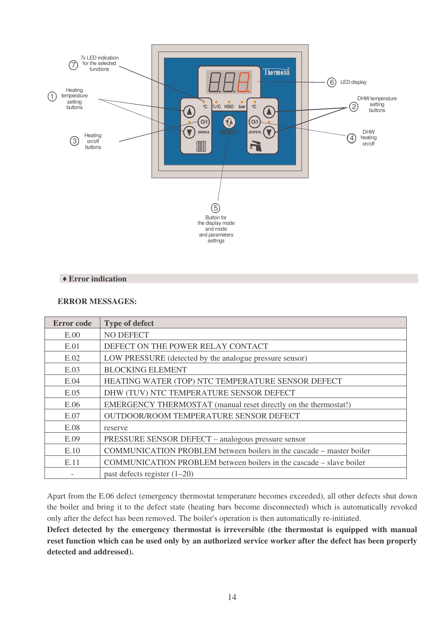

#### ♦ **Error indication**

#### **ERROR MESSAGES:**

| <b>Error</b> code | <b>Type of defect</b>                                                |
|-------------------|----------------------------------------------------------------------|
| E.00              | NO DEFECT                                                            |
| E.01              | DEFECT ON THE POWER RELAY CONTACT                                    |
| E.02              | LOW PRESSURE (detected by the analogue pressure sensor)              |
| E.03              | <b>BLOCKING ELEMENT</b>                                              |
| E.04              | HEATING WATER (TOP) NTC TEMPERATURE SENSOR DEFECT                    |
| E.05              | DHW (TUV) NTC TEMPERATURE SENSOR DEFECT                              |
| E.06              | EMERGENCY THERMOSTAT (manual reset directly on the thermostat!)      |
| E.07              | OUTDOOR/ROOM TEMPERATURE SENSOR DEFECT                               |
| E.08              | reserve                                                              |
| E.09              | PRESSURE SENSOR DEFECT – analogous pressure sensor                   |
| E.10              | COMMUNICATION PROBLEM between boilers in the cascade – master boiler |
| E.11              | COMMUNICATION PROBLEM between boilers in the cascade – slave boiler  |
|                   | past defects register $(1-20)$                                       |

Apart from the E.06 defect (emergency thermostat temperature becomes exceeded), all other defects shut down the boiler and bring it to the defect state (heating bars become disconnected) which is automatically revoked only after the defect has been removed. The boiler's operation is then automatically re-initiated.

**Defect detected by the emergency thermostat is irreversible (the thermostat is equipped with manual reset function which can be used only by an authorized service worker after the defect has been properly detected and addressed).**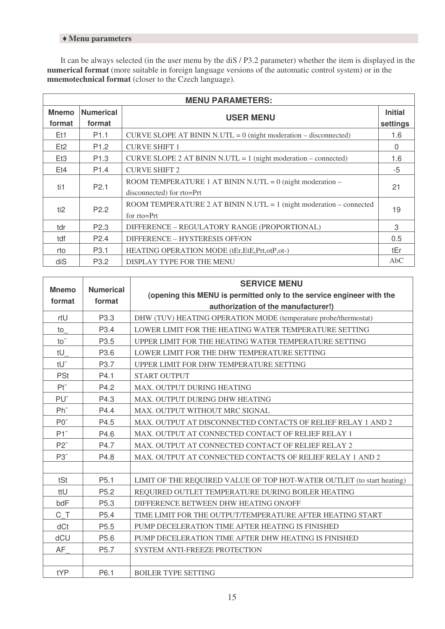#### ♦ **Menu parameters**

It can be always selected (in the user menu by the diS / P3.2 parameter) whether the item is displayed in the **numerical format** (more suitable in foreign language versions of the automatic control system) or in the **mnemotechnical format** (closer to the Czech language).

| <b>MENU PARAMETERS:</b>                                           |                  |                                                                                          |     |  |  |  |  |
|-------------------------------------------------------------------|------------------|------------------------------------------------------------------------------------------|-----|--|--|--|--|
| <b>Mnemo</b><br>Numerical<br><b>USER MENU</b><br>format<br>format |                  |                                                                                          |     |  |  |  |  |
| Et1                                                               | P <sub>1.1</sub> | CURVE SLOPE AT BININ N.UTL = $0$ (night moderation – disconnected)                       | 1.6 |  |  |  |  |
| Et <sub>2</sub>                                                   | P <sub>1.2</sub> | <b>CURVE SHIFT 1</b>                                                                     | 0   |  |  |  |  |
| Et <sub>3</sub>                                                   | P <sub>1.3</sub> | CURVE SLOPE 2 AT BININ N.UTL = 1 (night moderation – connected)                          | 1.6 |  |  |  |  |
| Et4                                                               | P <sub>1.4</sub> | <b>CURVE SHIFT 2</b>                                                                     | -5  |  |  |  |  |
| ti1                                                               | P <sub>2.1</sub> | ROOM TEMPERATURE 1 AT BININ N.UTL = $0$ (night moderation –<br>disconnected) for rto=Prt | 21  |  |  |  |  |
| P <sub>2.2</sub><br>ti2                                           |                  | ROOM TEMPERATURE 2 AT BININ N.UTL = 1 (night moderation – connected<br>for rto=Prt       | 19  |  |  |  |  |
| tdr                                                               | P <sub>2.3</sub> | DIFFERENCE - REGULATORY RANGE (PROPORTIONAL)                                             | 3   |  |  |  |  |
| tdf                                                               | P <sub>2.4</sub> | DIFFERENCE - HYSTERESIS OFF/ON                                                           | 0.5 |  |  |  |  |
| rto                                                               | P <sub>3.1</sub> | HEATING OPERATION MODE (tEr, EtE, Prt, otP, ot-)                                         | tEr |  |  |  |  |
| diS                                                               | P <sub>3.2</sub> | DISPLAY TYPE FOR THE MENU                                                                | AbC |  |  |  |  |

|                        | <b>Numerical</b> | <b>SERVICE MENU</b>                                                    |  |  |  |
|------------------------|------------------|------------------------------------------------------------------------|--|--|--|
| <b>Mnemo</b><br>format |                  | (opening this MENU is permitted only to the service engineer with the  |  |  |  |
|                        | format           | authorization of the manufacturer!)                                    |  |  |  |
| rtU                    | P3.3             | DHW (TUV) HEATING OPERATION MODE (temperature probe/thermostat)        |  |  |  |
| to                     | P3.4             | LOWER LIMIT FOR THE HEATING WATER TEMPERATURE SETTING                  |  |  |  |
| $\mathsf{to}^-$        | P3.5             | UPPER LIMIT FOR THE HEATING WATER TEMPERATURE SETTING                  |  |  |  |
| tU                     | P3.6             | LOWER LIMIT FOR THE DHW TEMPERATURE SETTING                            |  |  |  |
| tU <sup>-</sup>        | P3.7             | UPPER LIMIT FOR DHW TEMPERATURE SETTING                                |  |  |  |
| PSt                    | P4.1             | <b>START OUTPUT</b>                                                    |  |  |  |
| $Pt-$                  | P4.2             | MAX. OUTPUT DURING HEATING                                             |  |  |  |
| PU <sup>-</sup>        | P4.3             | MAX. OUTPUT DURING DHW HEATING                                         |  |  |  |
| $Ph^-$                 | P4.4             | MAX. OUTPUT WITHOUT MRC SIGNAL                                         |  |  |  |
| $P0^-$                 | P4.5             | MAX. OUTPUT AT DISCONNECTED CONTACTS OF RELIEF RELAY 1 AND 2           |  |  |  |
| $P1^-$                 | P4.6             | MAX. OUTPUT AT CONNECTED CONTACT OF RELIEF RELAY 1                     |  |  |  |
| $P2^-$                 | P4.7             | MAX. OUTPUT AT CONNECTED CONTACT OF RELIEF RELAY 2                     |  |  |  |
| $P3$ <sup>-</sup>      | P4.8             | MAX. OUTPUT AT CONNECTED CONTACTS OF RELIEF RELAY 1 AND 2              |  |  |  |
|                        |                  |                                                                        |  |  |  |
| tSt                    | P <sub>5.1</sub> | LIMIT OF THE REQUIRED VALUE OF TOP HOT-WATER OUTLET (to start heating) |  |  |  |
| ttU                    | P <sub>5.2</sub> | REQUIRED OUTLET TEMPERATURE DURING BOILER HEATING                      |  |  |  |
| bdF                    | P5.3             | DIFFERENCE BETWEEN DHW HEATING ON/OFF                                  |  |  |  |
| C T                    | P <sub>5.4</sub> | TIME LIMIT FOR THE OUTPUT/TEMPERATURE AFTER HEATING START              |  |  |  |
| dCt                    | P5.5             | PUMP DECELERATION TIME AFTER HEATING IS FINISHED                       |  |  |  |
| dCU                    | P5.6             | PUMP DECELERATION TIME AFTER DHW HEATING IS FINISHED                   |  |  |  |
| AF                     | P <sub>5.7</sub> | SYSTEM ANTI-FREEZE PROTECTION                                          |  |  |  |
|                        |                  |                                                                        |  |  |  |
| tYP                    | P6.1             | <b>BOILER TYPE SETTING</b>                                             |  |  |  |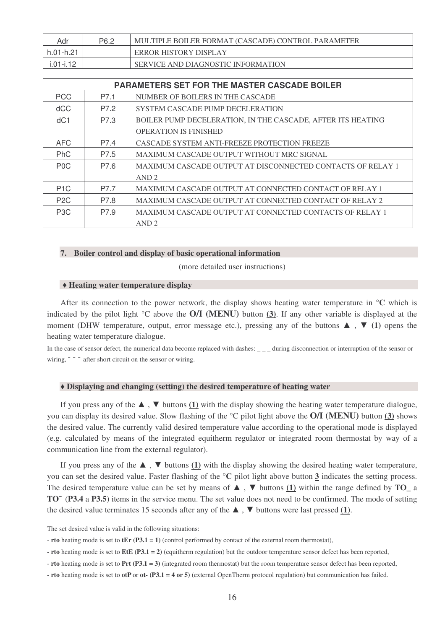| Adr           | P6.2 | MULTIPLE BOILER FORMAT (CASCADE) CONTROL PARAMETER |
|---------------|------|----------------------------------------------------|
| h.01-h.21     |      | <b>ERROR HISTORY DISPLAY</b>                       |
| $i.01 - i.12$ |      | SERVICE AND DIAGNOSTIC INFORMATION                 |

| <b>PARAMETERS SET FOR THE MASTER CASCADE BOILER</b> |                                                                |                                                             |  |  |  |  |
|-----------------------------------------------------|----------------------------------------------------------------|-------------------------------------------------------------|--|--|--|--|
| <b>PCC</b>                                          | P7.1<br>NUMBER OF BOILERS IN THE CASCADE                       |                                                             |  |  |  |  |
| dCC                                                 | P7.2                                                           | SYSTEM CASCADE PUMP DECELERATION                            |  |  |  |  |
| dC1                                                 | P7.3                                                           | BOILER PUMP DECELERATION, IN THE CASCADE, AFTER ITS HEATING |  |  |  |  |
|                                                     |                                                                | <b>OPERATION IS FINISHED</b>                                |  |  |  |  |
| <b>AFC</b>                                          | P7.4                                                           | CASCADE SYSTEM ANTI-FREEZE PROTECTION FREEZE                |  |  |  |  |
| <b>PhC</b>                                          | P7.5                                                           | MAXIMUM CASCADE OUTPUT WITHOUT MRC SIGNAL                   |  |  |  |  |
| P <sub>0</sub> C                                    | P7.6                                                           | MAXIMUM CASCADE OUTPUT AT DISCONNECTED CONTACTS OF RELAY 1  |  |  |  |  |
|                                                     |                                                                | AND 2                                                       |  |  |  |  |
| P <sub>1</sub> C                                    | P7.7                                                           | MAXIMUM CASCADE OUTPUT AT CONNECTED CONTACT OF RELAY 1      |  |  |  |  |
| P <sub>2</sub> C                                    | P7.8                                                           | MAXIMUM CASCADE OUTPUT AT CONNECTED CONTACT OF RELAY 2      |  |  |  |  |
| P <sub>3</sub> C                                    | P79<br>MAXIMUM CASCADE OUTPUT AT CONNECTED CONTACTS OF RELAY 1 |                                                             |  |  |  |  |
|                                                     |                                                                | AND <sub>2</sub>                                            |  |  |  |  |

#### **7. Boiler control and display of basic operational information**

(more detailed user instructions)

#### ♦ **Heating water temperature display**

After its connection to the power network, the display shows heating water temperature in **°C** which is indicated by the pilot light °C above the **O/I (MENU)** button **(3)**. If any other variable is displayed at the moment (DHW temperature, output, error message etc.), pressing any of the buttons  $\blacktriangle$ ,  $\nabla$  (1) opens the heating water temperature dialogue.

In the case of sensor defect, the numerical data become replaced with dashes: \_\_\_ during disconnection or interruption of the sensor or wiring,  $\overline{\phantom{a}}$  =  $\overline{\phantom{a}}$  = after short circuit on the sensor or wiring.

#### ♦ **Displaying and changing (setting) the desired temperature of heating water**

If you press any of the  $\blacktriangle$ ,  $\nabla$  buttons (1) with the display showing the heating water temperature dialogue, you can display its desired value. Slow flashing of the °C pilot light above the **O/I (MENU)** button **(3)** shows the desired value. The currently valid desired temperature value according to the operational mode is displayed (e.g. calculated by means of the integrated equitherm regulator or integrated room thermostat by way of a communication line from the external regulator).

If you press any of the ▲ , ▼ buttons **(1)** with the display showing the desired heating water temperature, you can set the desired value. Faster flashing of the **°C** pilot light above button **3** indicates the setting process. The desired temperature value can be set by means of ▲ , ▼ buttons **(1)** within the range defined by **TO\_** a **TO¯** (**P3.4** a **P3.5**) items in the service menu. The set value does not need to be confirmed. The mode of setting the desired value terminates 15 seconds after any of the ▲ , ▼ buttons were last pressed **(1)**.

The set desired value is valid in the following situations:

- **rto** heating mode is set to **tEr (P3.1 = 1)** (control performed by contact of the external room thermostat),

- **rto** heating mode is set to **EtE (P3.1 = 2)** (equitherm regulation) but the outdoor temperature sensor defect has been reported,

- **rto** heating mode is set to **Prt (P3.1 = 3)** (integrated room thermostat) but the room temperature sensor defect has been reported,

- **rto** heating mode is set to **otP** or **ot- (P3.1 = 4 or 5)** (external OpenTherm protocol regulation) but communication has failed.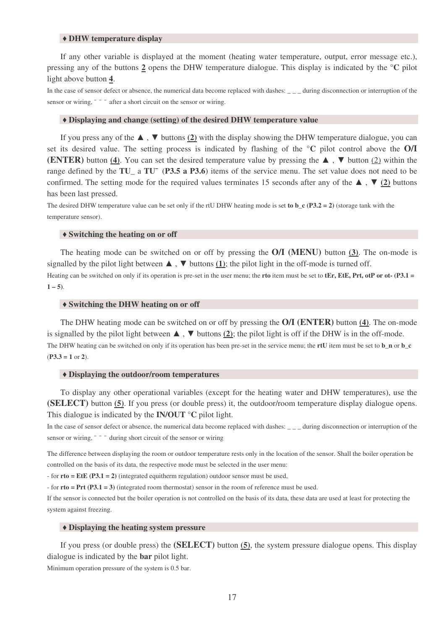#### ♦ **DHW temperature display**

If any other variable is displayed at the moment (heating water temperature, output, error message etc.), pressing any of the buttons **2** opens the DHW temperature dialogue. This display is indicated by the **°C** pilot light above button **4**.

In the case of sensor defect or absence, the numerical data become replaced with dashes:  $\frac{1}{1-\alpha}$  during disconnection or interruption of the sensor or wiring,  $\overline{\phantom{a}}$  =  $\overline{\phantom{a}}$  after a short circuit on the sensor or wiring.

#### ♦ **Displaying and change (setting) of the desired DHW temperature value**

If you press any of the  $\blacktriangle$ ,  $\nabla$  buttons (2) with the display showing the DHW temperature dialogue, you can set its desired value. The setting process is indicated by flashing of the **°C** pilot control above the **O/I (ENTER)** button **(4)**. You can set the desired temperature value by pressing the ▲ , ▼ button (2) within the range defined by the **TU\_** a **TU¯** (**P3.5 a P3.6**) items of the service menu. The set value does not need to be confirmed. The setting mode for the required values terminates 15 seconds after any of the  $\blacktriangle$ ,  $\nabla$  (2) buttons has been last pressed.

The desired DHW temperature value can be set only if the rtU DHW heating mode is set **to b\_c (P3.2 = 2)** (storage tank with the temperature sensor).

#### ♦ **Switching the heating on or off**

The heating mode can be switched on or off by pressing the **O/I (MENU)** button **(3)**. The on-mode is signalled by the pilot light between  $\blacktriangle$ ,  $\nabla$  buttons  $(1)$ ; the pilot light in the off-mode is turned off. Heating can be switched on only if its operation is pre-set in the user menu; the **rto** item must be set to **tEr, EtE, Prt, otP or ot- (P3.1 = 1 – 5)**.

#### ♦ **Switching the DHW heating on or off**

The DHW heating mode can be switched on or off by pressing the **O/I (ENTER)** button **(4)**. The on-mode is signalled by the pilot light between ▲ , ▼ buttons **(2)**; the pilot light is off if the DHW is in the off-mode. The DHW heating can be switched on only if its operation has been pre-set in the service menu; the **rtU** item must be set to **b\_n** or **b\_c** (**P3.3 = 1** or **2**).

#### ♦ **Displaying the outdoor/room temperatures**

To display any other operational variables (except for the heating water and DHW temperatures), use the **(SELECT)** button **(5)**. If you press (or double press) it, the outdoor/room temperature display dialogue opens. This dialogue is indicated by the **IN/OUT °C** pilot light.

In the case of sensor defect or absence, the numerical data become replaced with dashes:  $\frac{1}{\sqrt{2}}$  during disconnection or interruption of the sensor or wiring,  $\overline{a}$   $\overline{a}$   $\overline{a}$  during short circuit of the sensor or wiring

The difference between displaying the room or outdoor temperature rests only in the location of the sensor. Shall the boiler operation be controlled on the basis of its data, the respective mode must be selected in the user menu:

- for  $r$ to = EtE (P3.1 = 2) (integrated equitherm regulation) outdoor sensor must be used,

- for **rto = Prt (P3.1 = 3)** (integrated room thermostat) sensor in the room of reference must be used.

If the sensor is connected but the boiler operation is not controlled on the basis of its data, these data are used at least for protecting the system against freezing.

#### ♦ **Displaying the heating system pressure**

If you press (or double press) the **(SELECT)** button **(5)**, the system pressure dialogue opens. This display dialogue is indicated by the **bar** pilot light.

Minimum operation pressure of the system is 0.5 bar.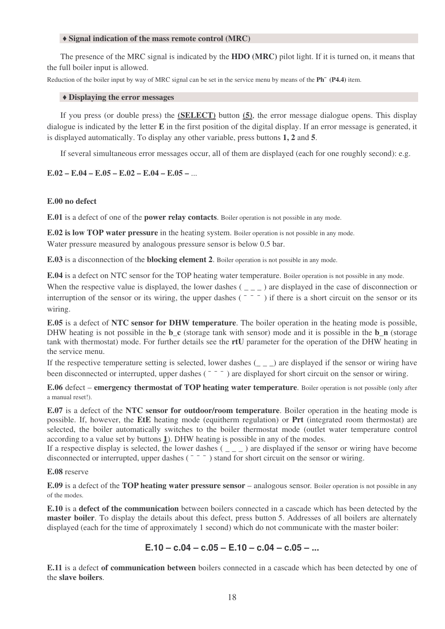#### ♦ **Signal indication of the mass remote control (MRC)**

The presence of the MRC signal is indicated by the **HDO (MRC)** pilot light. If it is turned on, it means that the full boiler input is allowed.

Reduction of the boiler input by way of MRC signal can be set in the service menu by means of the **Ph<sup>** $-$ **</sup> (P4.4)** item.

#### ♦ **Displaying the error messages**

If you press (or double press) the **(SELECT)** button **(5)**, the error message dialogue opens. This display dialogue is indicated by the letter **E** in the first position of the digital display. If an error message is generated, it is displayed automatically. To display any other variable, press buttons **1, 2** and **5**.

If several simultaneous error messages occur, all of them are displayed (each for one roughly second): e.g.

#### **E.02 – E.04 – E.05 – E.02 – E.04 – E.05 –** ...

#### E.00 no defect

**E.01** is a defect of one of the **power relay contacts**. Boiler operation is not possible in any mode.

**E.02 is low TOP water pressure** in the heating system. Boiler operation is not possible in any mode. Water pressure measured by analogous pressure sensor is below 0.5 bar.

**E.03** is a disconnection of the **blocking element 2**. Boiler operation is not possible in any mode.

**E.04** is a defect on NTC sensor for the TOP heating water temperature. Boiler operation is not possible in any mode.

When the respective value is displayed, the lower dashes  $($ <sub>--</sub> $)$  are displayed in the case of disconnection or interruption of the sensor or its wiring, the upper dashes  $\left( \begin{array}{cc} -5 \end{array} \right)$  if there is a short circuit on the sensor or its wiring.

**E.05** is a defect of **NTC sensor for DHW temperature**. The boiler operation in the heating mode is possible, DHW heating is not possible in the **b** c (storage tank with sensor) mode and it is possible in the **b** n (storage tank with thermostat) mode. For further details see the **rtU** parameter for the operation of the DHW heating in the service menu.

If the respective temperature setting is selected, lower dashes  $(\_ \_ \)$  are displayed if the sensor or wiring have been disconnected or interrupted, upper dashes  $($  $)$  are displayed for short circuit on the sensor or wiring.

**E.06** defect – **emergency thermostat of TOP heating water temperature**. Boiler operation is not possible (only after a manual reset!).

**E.07** is a defect of the **NTC sensor for outdoor/room temperature**. Boiler operation in the heating mode is possible. If, however, the **EtE** heating mode (equitherm regulation) or **Prt** (integrated room thermostat) are selected, the boiler automatically switches to the boiler thermostat mode (outlet water temperature control according to a value set by buttons **1**). DHW heating is possible in any of the modes.

If a respective display is selected, the lower dashes  $($ <sub>--</sub>  $)$  are displayed if the sensor or wiring have become disconnected or interrupted, upper dashes  $($  $)$  stand for short circuit on the sensor or wiring.

#### **E.08** reserve

**E.09** is a defect of the **TOP heating water pressure sensor** – analogous sensor. Boiler operation is not possible in any of the modes.

**E.10** is a **defect of the communication** between boilers connected in a cascade which has been detected by the **master boiler**. To display the details about this defect, press button 5. Addresses of all boilers are alternately displayed (each for the time of approximately 1 second) which do not communicate with the master boiler:

#### **E.10 – c.04 – c.05 – E.10 – c.04 – c.05 – ...**

**E.11** is a defect **of communication between** boilers connected in a cascade which has been detected by one of the **slave boilers**.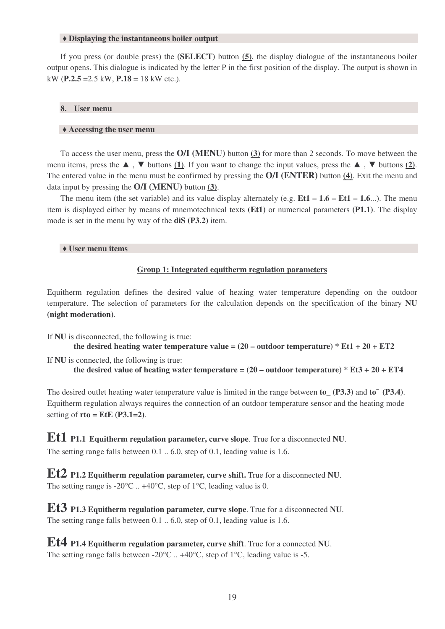#### ♦ **Displaying the instantaneous boiler output**

If you press (or double press) the **(SELECT)** button **(5)**, the display dialogue of the instantaneous boiler output opens. This dialogue is indicated by the letter P in the first position of the display. The output is shown in kW (**P.2.5** =2.5 kW, **P.18** = 18 kW etc.).

#### **8. User menu**

#### ♦ **Accessing the user menu**

To access the user menu, press the **O/I (MENU)** button **(3)** for more than 2 seconds. To move between the menu items, press the  $\blacktriangle$ ,  $\nabla$  buttons **(1)**. If you want to change the input values, press the  $\blacktriangle$ ,  $\nabla$  buttons **(2)**. The entered value in the menu must be confirmed by pressing the **O/I (ENTER)** button **(4)**. Exit the menu and data input by pressing the **O/I (MENU)** button **(3)**.

The menu item (the set variable) and its value display alternately (e.g. **Et1 – 1.6 – Et1 – 1.6**...). The menu item is displayed either by means of mnemotechnical texts **(Et1)** or numerical parameters **(P1.1)**. The display mode is set in the menu by way of the **diS (P3.2)** item.

#### ♦ **User menu items**

#### **Group 1: Integrated equitherm regulation parameters**

Equitherm regulation defines the desired value of heating water temperature depending on the outdoor temperature. The selection of parameters for the calculation depends on the specification of the binary **NU (night moderation)**.

If **NU** is disconnected, the following is true: **the desired heating water temperature value = (20 – outdoor temperature) \* Et1 + 20 + ET2**  If **NU** is connected, the following is true: **the desired value of heating water temperature = (20 – outdoor temperature) \* Et3 + 20 + ET4** 

The desired outlet heating water temperature value is limited in the range between **to\_ (P3.3)** and **to¯ (P3.4)**. Equitherm regulation always requires the connection of an outdoor temperature sensor and the heating mode setting of **rto = EtE (P3.1=2)**.

**Et1 P1.1 Equitherm regulation parameter, curve slope**. True for a disconnected **NU**. The setting range falls between 0.1 .. 6.0, step of 0.1, leading value is 1.6.

**Et2 P1.2 Equitherm regulation parameter, curve shift.** True for a disconnected **NU**. The setting range is -20 $^{\circ}$ C .. +40 $^{\circ}$ C, step of 1 $^{\circ}$ C, leading value is 0.

**Et3 P1.3 Equitherm regulation parameter, curve slope**. True for a disconnected **NU**. The setting range falls between 0.1 .. 6.0, step of 0.1, leading value is 1.6.

**Et4 P1.4 Equitherm regulation parameter, curve shift**. True for a connected **NU**. The setting range falls between -20 $^{\circ}$ C .. +40 $^{\circ}$ C, step of 1 $^{\circ}$ C, leading value is -5.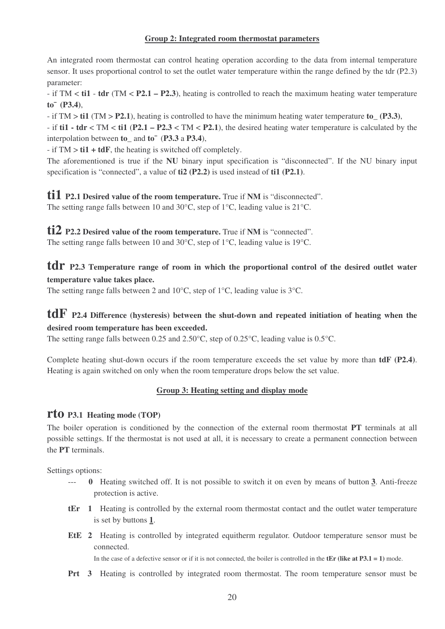#### **Group 2: Integrated room thermostat parameters**

An integrated room thermostat can control heating operation according to the data from internal temperature sensor. It uses proportional control to set the outlet water temperature within the range defined by the tdr (P2.3) parameter:

- if TM < **ti1** - **tdr** (TM < **P2.1 – P2.3**), heating is controlled to reach the maximum heating water temperature **to¯ (P3.4)**,

- if TM > **ti1** (TM > **P2.1**), heating is controlled to have the minimum heating water temperature **to\_ (P3.3)**,

- if **ti1 - tdr** < TM < **ti1** (**P2.1 – P2.3** < TM < **P2.1**), the desired heating water temperature is calculated by the interpolation between **to\_** and **to¯** (**P3.3** a **P3.4**),

- if TM > **ti1 + tdF**, the heating is switched off completely.

The aforementioned is true if the **NU** binary input specification is "disconnected". If the NU binary input specification is "connected", a value of **ti2 (P2.2)** is used instead of **ti1 (P2.1)**.

**ti1 P2.1 Desired value of the room temperature.** True if **NM** is "disconnected". The setting range falls between 10 and 30°C, step of 1°C, leading value is 21°C.

**ti2 P2.2 Desired value of the room temperature.** True if **NM** is "connected".

The setting range falls between 10 and 30°C, step of 1°C, leading value is 19°C.

#### **tdr P2.3 Temperature range of room in which the proportional control of the desired outlet water temperature value takes place.**

The setting range falls between 2 and 10°C, step of 1°C, leading value is 3°C.

### **tdF P2.4 Difference (hysteresis) between the shut-down and repeated initiation of heating when the desired room temperature has been exceeded.**

The setting range falls between 0.25 and 2.50°C, step of 0.25°C, leading value is 0.5°C.

Complete heating shut-down occurs if the room temperature exceeds the set value by more than **tdF (P2.4)**. Heating is again switched on only when the room temperature drops below the set value.

#### **Group 3: Heating setting and display mode**

#### **rto P3.1 Heating mode (TOP)**

The boiler operation is conditioned by the connection of the external room thermostat **PT** terminals at all possible settings. If the thermostat is not used at all, it is necessary to create a permanent connection between the **PT** terminals.

Settings options:

- 0 Heating switched off. It is not possible to switch it on even by means of button 3. Anti-freeze protection is active.
- **tEr 1** Heating is controlled by the external room thermostat contact and the outlet water temperature is set by buttons **1**.
- **EtE 2** Heating is controlled by integrated equitherm regulator. Outdoor temperature sensor must be connected.

In the case of a defective sensor or if it is not connected, the boiler is controlled in the **tEr (like at P3.1 = 1)** mode.

**Prt 3** Heating is controlled by integrated room thermostat. The room temperature sensor must be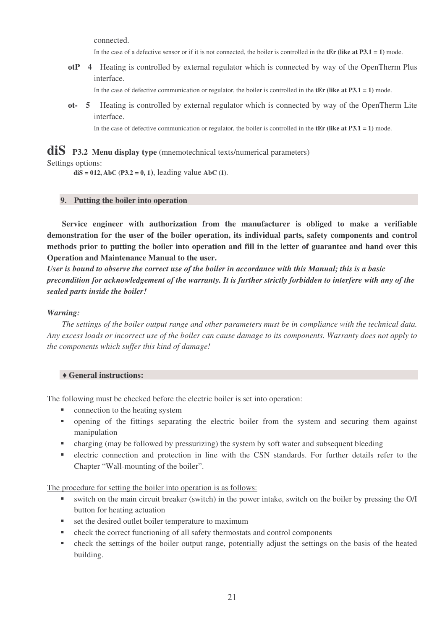connected.

In the case of a defective sensor or if it is not connected, the boiler is controlled in the **tEr** (like at P3.1 = 1) mode.

**otP 4** Heating is controlled by external regulator which is connected by way of the OpenTherm Plus interface.

In the case of defective communication or regulator, the boiler is controlled in the **tEr (like at P3.1 = 1)** mode.

**ot- 5** Heating is controlled by external regulator which is connected by way of the OpenTherm Lite interface.

In the case of defective communication or regulator, the boiler is controlled in the **tEr (like at P3.1 = 1)** mode.

## **diS P3.2 Menu display type** (mnemotechnical texts/numerical parameters)

Settings options:

**diS = 012, AbC (P3.2 = 0, 1)**, leading value **AbC (1)**.

#### **9. Putting the boiler into operation**

**Service engineer with authorization from the manufacturer is obliged to make a verifiable demonstration for the user of the boiler operation, its individual parts, safety components and control methods prior to putting the boiler into operation and fill in the letter of guarantee and hand over this Operation and Maintenance Manual to the user.** 

*User is bound to observe the correct use of the boiler in accordance with this Manual; this is a basic precondition for acknowledgement of the warranty. It is further strictly forbidden to interfere with any of the sealed parts inside the boiler!* 

#### *Warning:*

*The settings of the boiler output range and other parameters must be in compliance with the technical data. Any excess loads or incorrect use of the boiler can cause damage to its components. Warranty does not apply to the components which suffer this kind of damage!* 

#### ♦ **General instructions:**

The following must be checked before the electric boiler is set into operation:

- connection to the heating system
- opening of the fittings separating the electric boiler from the system and securing them against manipulation
- charging (may be followed by pressurizing) the system by soft water and subsequent bleeding
- electric connection and protection in line with the CSN standards. For further details refer to the Chapter "Wall-mounting of the boiler".

The procedure for setting the boiler into operation is as follows:

- switch on the main circuit breaker (switch) in the power intake, switch on the boiler by pressing the O/I button for heating actuation
- set the desired outlet boiler temperature to maximum
- check the correct functioning of all safety thermostats and control components
- check the settings of the boiler output range, potentially adjust the settings on the basis of the heated building.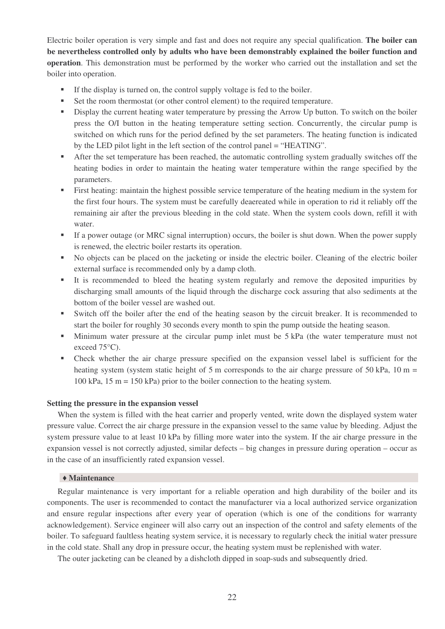Electric boiler operation is very simple and fast and does not require any special qualification. **The boiler can be nevertheless controlled only by adults who have been demonstrably explained the boiler function and operation**. This demonstration must be performed by the worker who carried out the installation and set the boiler into operation.

- If the display is turned on, the control supply voltage is fed to the boiler.
- Set the room thermostat (or other control element) to the required temperature.
- Display the current heating water temperature by pressing the Arrow Up button. To switch on the boiler press the O/I button in the heating temperature setting section. Concurrently, the circular pump is switched on which runs for the period defined by the set parameters. The heating function is indicated by the LED pilot light in the left section of the control panel = "HEATING".
- After the set temperature has been reached, the automatic controlling system gradually switches off the heating bodies in order to maintain the heating water temperature within the range specified by the parameters.
- First heating: maintain the highest possible service temperature of the heating medium in the system for the first four hours. The system must be carefully deaereated while in operation to rid it reliably off the remaining air after the previous bleeding in the cold state. When the system cools down, refill it with water.
- If a power outage (or MRC signal interruption) occurs, the boiler is shut down. When the power supply is renewed, the electric boiler restarts its operation.
- No objects can be placed on the jacketing or inside the electric boiler. Cleaning of the electric boiler external surface is recommended only by a damp cloth.
- It is recommended to bleed the heating system regularly and remove the deposited impurities by discharging small amounts of the liquid through the discharge cock assuring that also sediments at the bottom of the boiler vessel are washed out.
- Switch off the boiler after the end of the heating season by the circuit breaker. It is recommended to start the boiler for roughly 30 seconds every month to spin the pump outside the heating season.
- Minimum water pressure at the circular pump inlet must be 5 kPa (the water temperature must not exceed 75°C).
- Check whether the air charge pressure specified on the expansion vessel label is sufficient for the heating system (system static height of 5 m corresponds to the air charge pressure of 50 kPa,  $10 \text{ m} =$  $100 \text{ kPa}$ ,  $15 \text{ m} = 150 \text{ kPa}$ ) prior to the boiler connection to the heating system.

#### **Setting the pressure in the expansion vessel**

When the system is filled with the heat carrier and properly vented, write down the displayed system water pressure value. Correct the air charge pressure in the expansion vessel to the same value by bleeding. Adjust the system pressure value to at least 10 kPa by filling more water into the system. If the air charge pressure in the expansion vessel is not correctly adjusted, similar defects – big changes in pressure during operation – occur as in the case of an insufficiently rated expansion vessel.

#### ♦ **Maintenance**

Regular maintenance is very important for a reliable operation and high durability of the boiler and its components. The user is recommended to contact the manufacturer via a local authorized service organization and ensure regular inspections after every year of operation (which is one of the conditions for warranty acknowledgement). Service engineer will also carry out an inspection of the control and safety elements of the boiler. To safeguard faultless heating system service, it is necessary to regularly check the initial water pressure in the cold state. Shall any drop in pressure occur, the heating system must be replenished with water.

The outer jacketing can be cleaned by a dishcloth dipped in soap-suds and subsequently dried.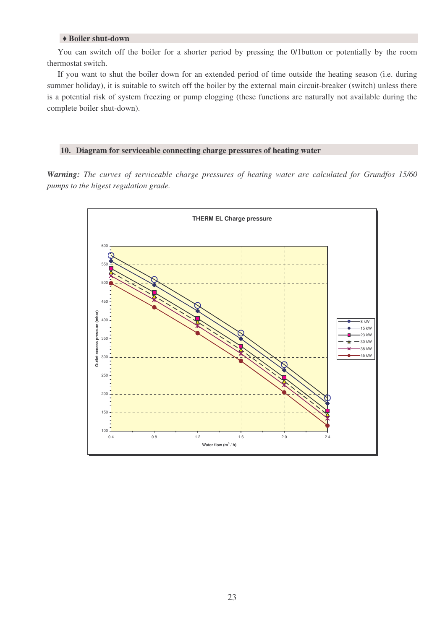#### ♦ **Boiler shut-down**

You can switch off the boiler for a shorter period by pressing the 0/1button or potentially by the room thermostat switch.

If you want to shut the boiler down for an extended period of time outside the heating season (i.e. during summer holiday), it is suitable to switch off the boiler by the external main circuit-breaker (switch) unless there is a potential risk of system freezing or pump clogging (these functions are naturally not available during the complete boiler shut-down).

#### **10. Diagram for serviceable connecting charge pressures of heating water**

*Warning: The curves of serviceable charge pressures of heating water are calculated for Grundfos 15/60 pumps to the higest regulation grade.* 

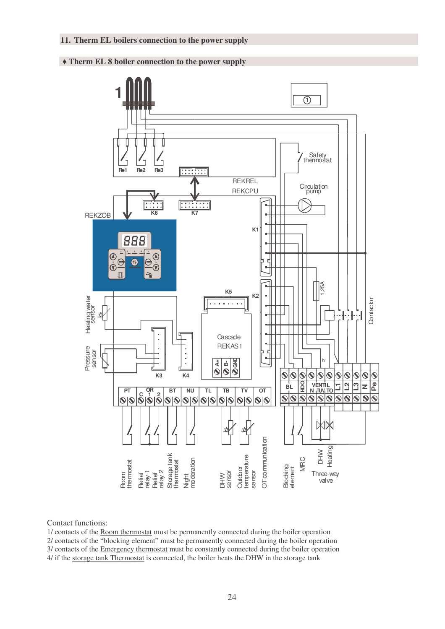♦ **Therm EL 8 boiler connection to the power supply** 



Contact functions:

1/ contacts of the Room thermostat must be permanently connected during the boiler operation

2/ contacts of the "blocking element" must be permanently connected during the boiler operation

3/ contacts of the Emergency thermostat must be constantly connected during the boiler operation

4/ if the storage tank Thermostat is connected, the boiler heats the DHW in the storage tank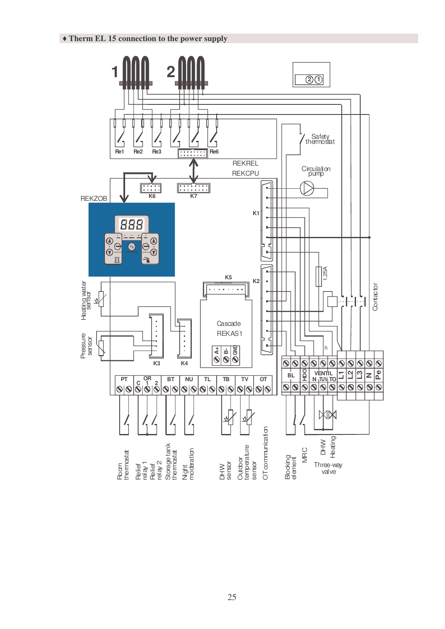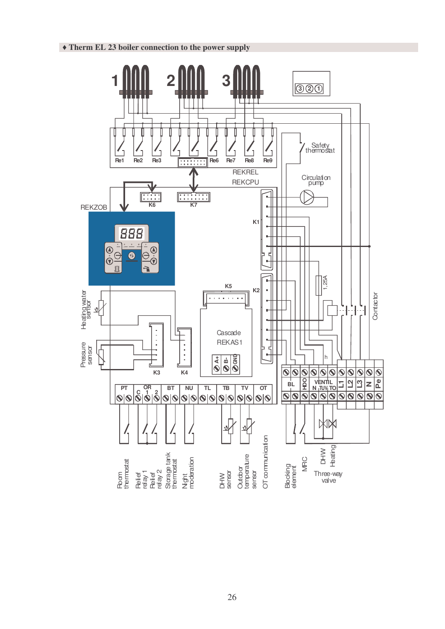♦ **Therm EL 23 boiler connection to the power supply** 

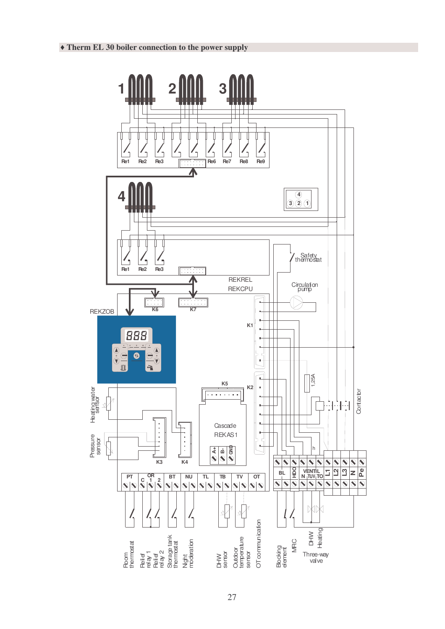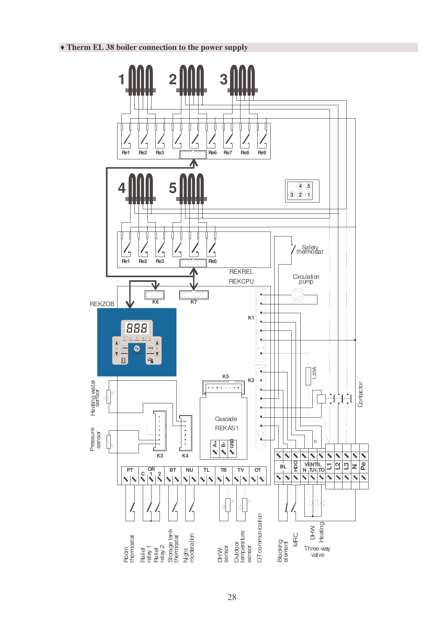♦ **Therm EL 38 boiler connection to the power supply** 

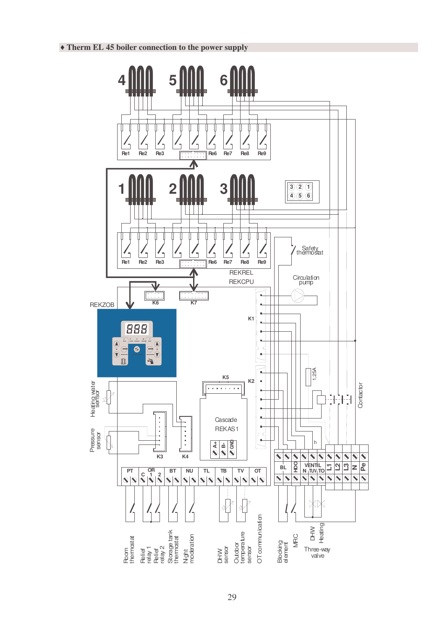♦ **Therm EL 45 boiler connection to the power supply** 

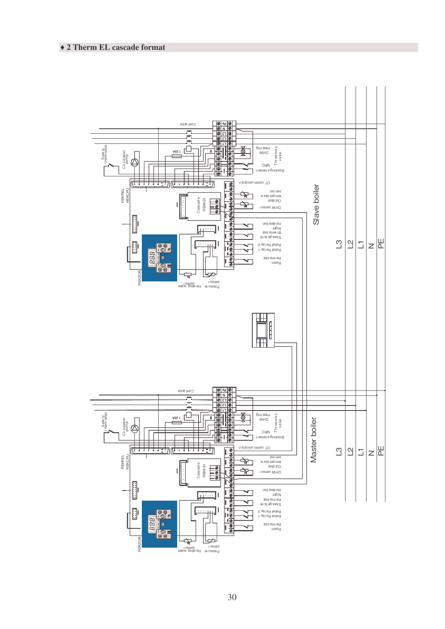#### ♦ **2 Therm EL cascade format**

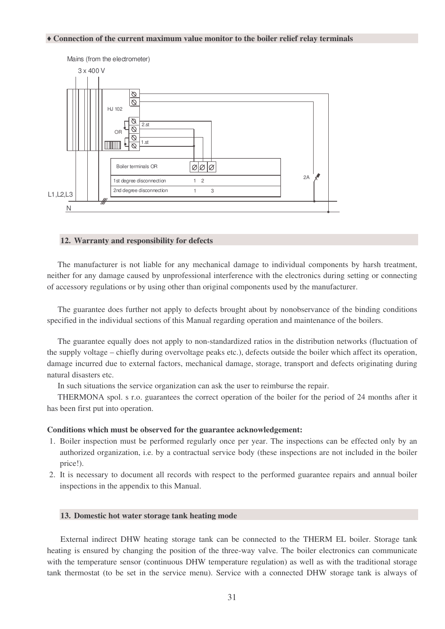#### ♦ **Connection of the current maximum value monitor to the boiler relief relay terminals**



#### **12. Warranty and responsibility for defects**

The manufacturer is not liable for any mechanical damage to individual components by harsh treatment, neither for any damage caused by unprofessional interference with the electronics during setting or connecting of accessory regulations or by using other than original components used by the manufacturer.

The guarantee does further not apply to defects brought about by nonobservance of the binding conditions specified in the individual sections of this Manual regarding operation and maintenance of the boilers.

The guarantee equally does not apply to non-standardized ratios in the distribution networks (fluctuation of the supply voltage – chiefly during overvoltage peaks etc.), defects outside the boiler which affect its operation, damage incurred due to external factors, mechanical damage, storage, transport and defects originating during natural disasters etc.

In such situations the service organization can ask the user to reimburse the repair.

THERMONA spol. s r.o. guarantees the correct operation of the boiler for the period of 24 months after it has been first put into operation.

#### **Conditions which must be observed for the guarantee acknowledgement:**

- 1. Boiler inspection must be performed regularly once per year. The inspections can be effected only by an authorized organization, i.e. by a contractual service body (these inspections are not included in the boiler price!).
- 2. It is necessary to document all records with respect to the performed guarantee repairs and annual boiler inspections in the appendix to this Manual.

#### **13. Domestic hot water storage tank heating mode**

External indirect DHW heating storage tank can be connected to the THERM EL boiler. Storage tank heating is ensured by changing the position of the three-way valve. The boiler electronics can communicate with the temperature sensor (continuous DHW temperature regulation) as well as with the traditional storage tank thermostat (to be set in the service menu). Service with a connected DHW storage tank is always of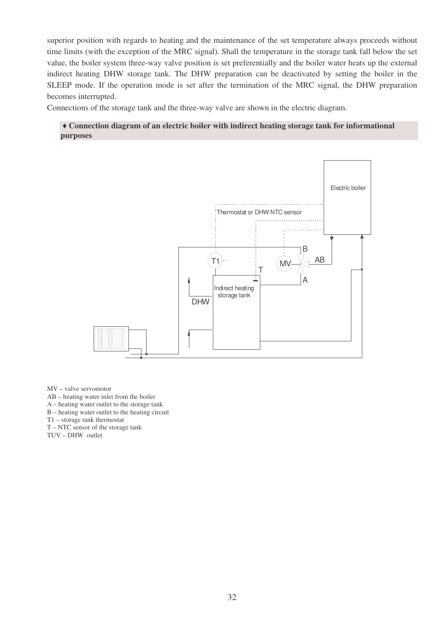superior position with regards to heating and the maintenance of the set temperature always proceeds without time limits (with the exception of the MRC signal). Shall the temperature in the storage tank fall below the set value, the boiler system three-way valve position is set preferentially and the boiler water heats up the external indirect heating DHW storage tank. The DHW preparation can be deactivated by setting the boiler in the SLEEP mode. If the operation mode is set after the termination of the MRC signal, the DHW preparation becomes interrupted.

Connections of the storage tank and the three-way valve are shown in the electric diagram.

#### ♦ **Connection diagram of an electric boiler with indirect heating storage tank for informational purposes**



MV – valve servomotor

AB – heating water inlet from the boiler

A – heating water outlet to the storage tank

B – heating water outlet to the heating circuit

T1 – storage tank thermostat

T – NTC sensor of the storage tank

TUV – DHW outlet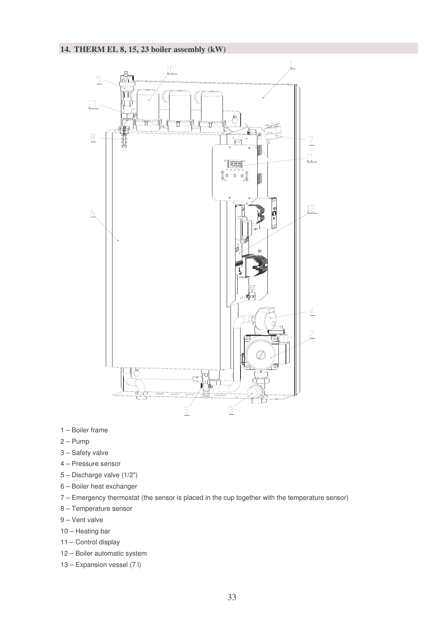

- 1 Boiler frame
- 2 Pump
- 3 Safety valve
- 4 Pressure sensor
- 5 Discharge valve (1/2")
- 6 Boiler heat exchanger
- 7 Emergency thermostat (the sensor is placed in the cup together with the temperature sensor)
- 8 Temperature sensor
- 9 Vent valve
- 10 Heating bar
- 11 Control display
- 12 Boiler automatic system
- 13 Expansion vessel (7 l)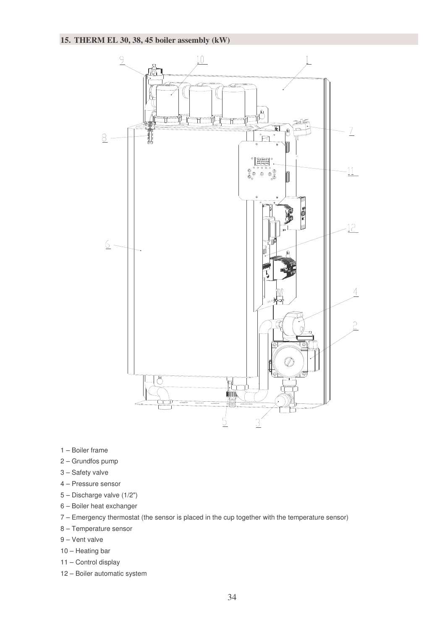

- 1 Boiler frame
- 2 Grundfos pump
- 3 Safety valve
- 4 Pressure sensor
- 5 Discharge valve (1/2")
- 6 Boiler heat exchanger
- 7 Emergency thermostat (the sensor is placed in the cup together with the temperature sensor)
- 8 Temperature sensor
- 9 Vent valve
- 10 Heating bar
- 11 Control display
- 12 Boiler automatic system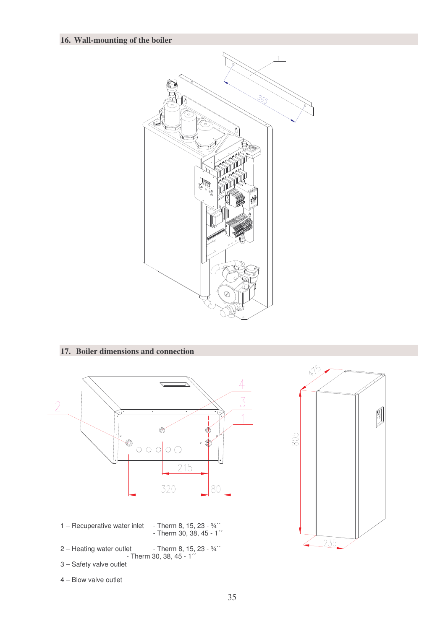#### **16. Wall-mounting of the boiler**



#### **17. Boiler dimensions and connection**





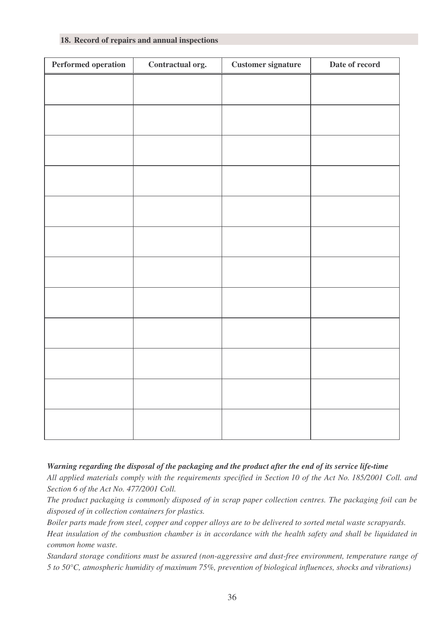#### **18. Record of repairs and annual inspections**

| Performed operation | Contractual org. | <b>Customer signature</b> | Date of record |
|---------------------|------------------|---------------------------|----------------|
|                     |                  |                           |                |
|                     |                  |                           |                |
|                     |                  |                           |                |
|                     |                  |                           |                |
|                     |                  |                           |                |
|                     |                  |                           |                |
|                     |                  |                           |                |
|                     |                  |                           |                |
|                     |                  |                           |                |
|                     |                  |                           |                |
|                     |                  |                           |                |
|                     |                  |                           |                |
|                     |                  |                           |                |
|                     |                  |                           |                |
|                     |                  |                           |                |
|                     |                  |                           |                |
|                     |                  |                           |                |
|                     |                  |                           |                |
|                     |                  |                           |                |
|                     |                  |                           |                |

*Warning regarding the disposal of the packaging and the product after the end of its service life-time*

*All applied materials comply with the requirements specified in Section 10 of the Act No. 185/2001 Coll. and Section 6 of the Act No. 477/2001 Coll.* 

*The product packaging is commonly disposed of in scrap paper collection centres. The packaging foil can be disposed of in collection containers for plastics.* 

*Boiler parts made from steel, copper and copper alloys are to be delivered to sorted metal waste scrapyards. Heat insulation of the combustion chamber is in accordance with the health safety and shall be liquidated in common home waste.* 

*Standard storage conditions must be assured (non-aggressive and dust-free environment, temperature range of 5 to 50°C, atmospheric humidity of maximum 75%, prevention of biological influences, shocks and vibrations)*